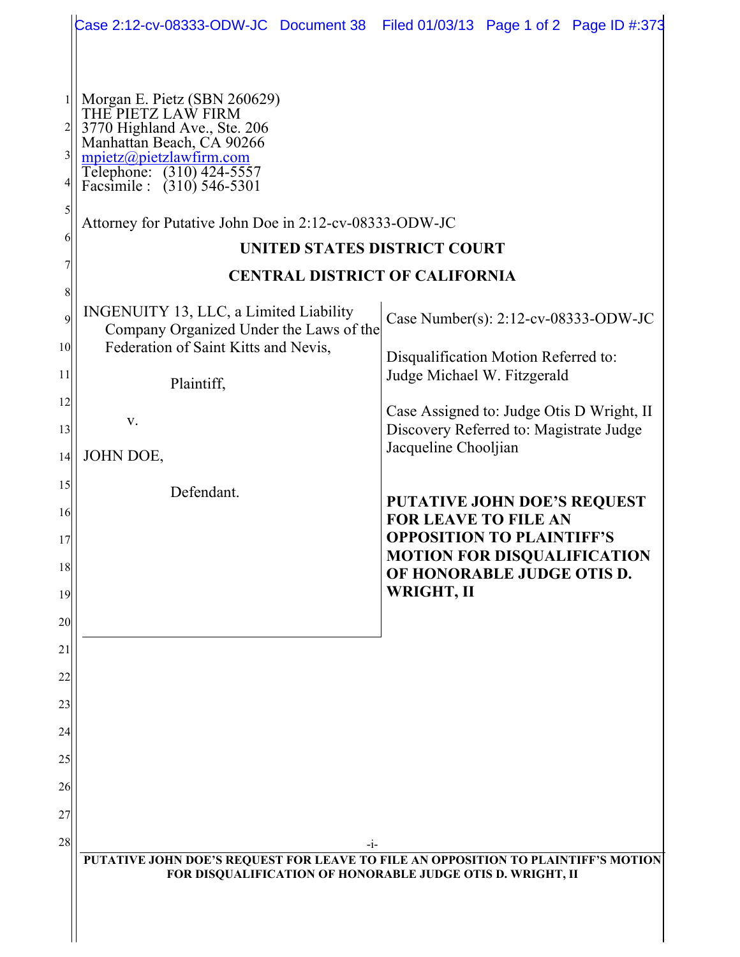|                          | Case 2:12-cv-08333-ODW-JC Document 38 Filed 01/03/13 Page 1 of 2 Page ID #:373                                                                                                                                                                                     |                                                                                |
|--------------------------|--------------------------------------------------------------------------------------------------------------------------------------------------------------------------------------------------------------------------------------------------------------------|--------------------------------------------------------------------------------|
|                          |                                                                                                                                                                                                                                                                    |                                                                                |
| $\overline{3}$<br>5<br>6 | Morgan E. Pietz (SBN 260629)<br>THE PIETZ LAW FIRM<br>3770 Highland Ave., Ste. 206<br>Manhattan Beach, CA 90266<br>$mpietz$ @pietzlawfirm.com<br>Telephone: (310) 424-5557<br>Facsimile : (310) 546-5301<br>Attorney for Putative John Doe in 2:12-cv-08333-ODW-JC |                                                                                |
|                          | UNITED STATES DISTRICT COURT                                                                                                                                                                                                                                       |                                                                                |
| 8                        | <b>CENTRAL DISTRICT OF CALIFORNIA</b>                                                                                                                                                                                                                              |                                                                                |
| $\overline{9}$           | INGENUITY 13, LLC, a Limited Liability<br>Company Organized Under the Laws of the                                                                                                                                                                                  | Case Number(s): 2:12-cv-08333-ODW-JC                                           |
| 10 <sup>1</sup><br>11    | Federation of Saint Kitts and Nevis,<br>Plaintiff,                                                                                                                                                                                                                 | Disqualification Motion Referred to:<br>Judge Michael W. Fitzgerald            |
| 12                       | V.                                                                                                                                                                                                                                                                 | Case Assigned to: Judge Otis D Wright, II                                      |
| 13                       |                                                                                                                                                                                                                                                                    | Discovery Referred to: Magistrate Judge<br>Jacqueline Chooljian                |
| 4                        | JOHN DOE,                                                                                                                                                                                                                                                          |                                                                                |
| 15                       | Defendant.                                                                                                                                                                                                                                                         | <b>PUTATIVE JOHN DOE'S REQUEST</b>                                             |
| 16<br>17                 |                                                                                                                                                                                                                                                                    | <b>FOR LEAVE TO FILE AN</b><br><b>OPPOSITION TO PLAINTIFF'S</b>                |
| 18<br>19                 |                                                                                                                                                                                                                                                                    | <b>MOTION FOR DISQUALIFICATION</b><br>OF HONORABLE JUDGE OTIS D.<br>WRIGHT, II |
| 20                       |                                                                                                                                                                                                                                                                    |                                                                                |
| 21                       |                                                                                                                                                                                                                                                                    |                                                                                |
| 22                       |                                                                                                                                                                                                                                                                    |                                                                                |
| 23                       |                                                                                                                                                                                                                                                                    |                                                                                |
| 24                       |                                                                                                                                                                                                                                                                    |                                                                                |
| 25                       |                                                                                                                                                                                                                                                                    |                                                                                |
| 26                       |                                                                                                                                                                                                                                                                    |                                                                                |
| 27                       |                                                                                                                                                                                                                                                                    |                                                                                |
| 28                       | $-1-$                                                                                                                                                                                                                                                              |                                                                                |
|                          | PUTATIVE JOHN DOE'S REQUEST FOR LEAVE TO FILE AN OPPOSITION TO PLAINTIFF'S MOTION<br>FOR DISQUALIFICATION OF HONORABLE JUDGE OTIS D. WRIGHT, II                                                                                                                    |                                                                                |
|                          |                                                                                                                                                                                                                                                                    |                                                                                |
|                          |                                                                                                                                                                                                                                                                    |                                                                                |